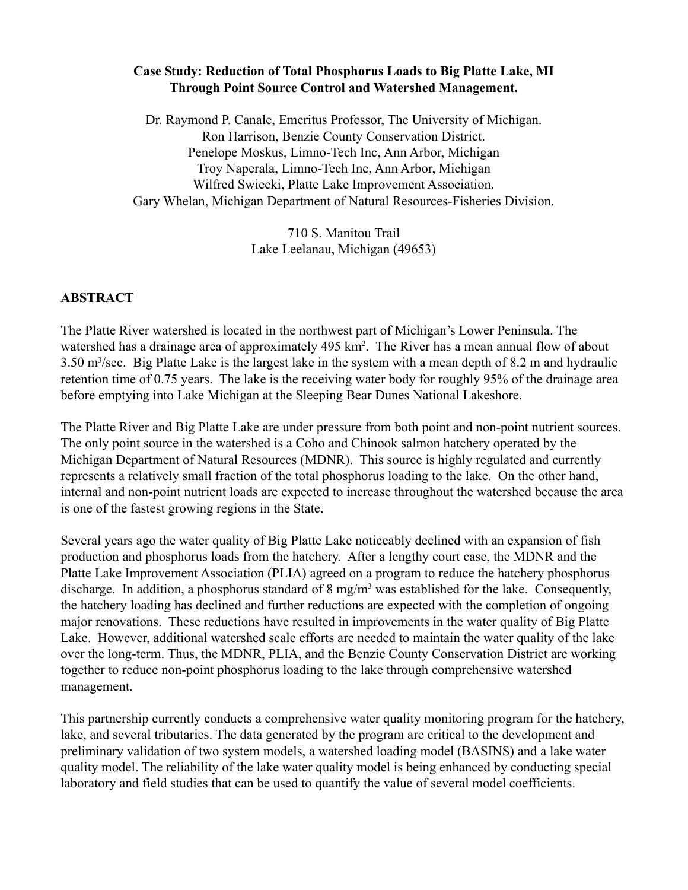#### **Case Study: Reduction of Total Phosphorus Loads to Big Platte Lake, MI Through Point Source Control and Watershed Management.**

Dr. Raymond P. Canale, Emeritus Professor, The University of Michigan. Ron Harrison, Benzie County Conservation District. Penelope Moskus, Limno-Tech Inc, Ann Arbor, Michigan Troy Naperala, Limno-Tech Inc, Ann Arbor, Michigan Wilfred Swiecki, Platte Lake Improvement Association. Gary Whelan, Michigan Department of Natural Resources-Fisheries Division.

> 710 S. Manitou Trail Lake Leelanau, Michigan (49653)

# **ABSTRACT**

The Platte River watershed is located in the northwest part of Michigan's Lower Peninsula. The watershed has a drainage area of approximately 495 km<sup>2</sup>. The River has a mean annual flow of about 3.50 m3 /sec. Big Platte Lake is the largest lake in the system with a mean depth of 8.2 m and hydraulic retention time of 0.75 years. The lake is the receiving water body for roughly 95% of the drainage area before emptying into Lake Michigan at the Sleeping Bear Dunes National Lakeshore.

The Platte River and Big Platte Lake are under pressure from both point and non-point nutrient sources. The only point source in the watershed is a Coho and Chinook salmon hatchery operated by the Michigan Department of Natural Resources (MDNR). This source is highly regulated and currently represents a relatively small fraction of the total phosphorus loading to the lake. On the other hand, internal and non-point nutrient loads are expected to increase throughout the watershed because the area is one of the fastest growing regions in the State.

Several years ago the water quality of Big Platte Lake noticeably declined with an expansion of fish production and phosphorus loads from the hatchery. After a lengthy court case, the MDNR and the Platte Lake Improvement Association (PLIA) agreed on a program to reduce the hatchery phosphorus discharge. In addition, a phosphorus standard of 8 mg/m<sup>3</sup> was established for the lake. Consequently, the hatchery loading has declined and further reductions are expected with the completion of ongoing major renovations. These reductions have resulted in improvements in the water quality of Big Platte Lake. However, additional watershed scale efforts are needed to maintain the water quality of the lake over the long-term. Thus, the MDNR, PLIA, and the Benzie County Conservation District are working together to reduce non-point phosphorus loading to the lake through comprehensive watershed management.

This partnership currently conducts a comprehensive water quality monitoring program for the hatchery, lake, and several tributaries. The data generated by the program are critical to the development and preliminary validation of two system models, a watershed loading model (BASINS) and a lake water quality model. The reliability of the lake water quality model is being enhanced by conducting special laboratory and field studies that can be used to quantify the value of several model coefficients.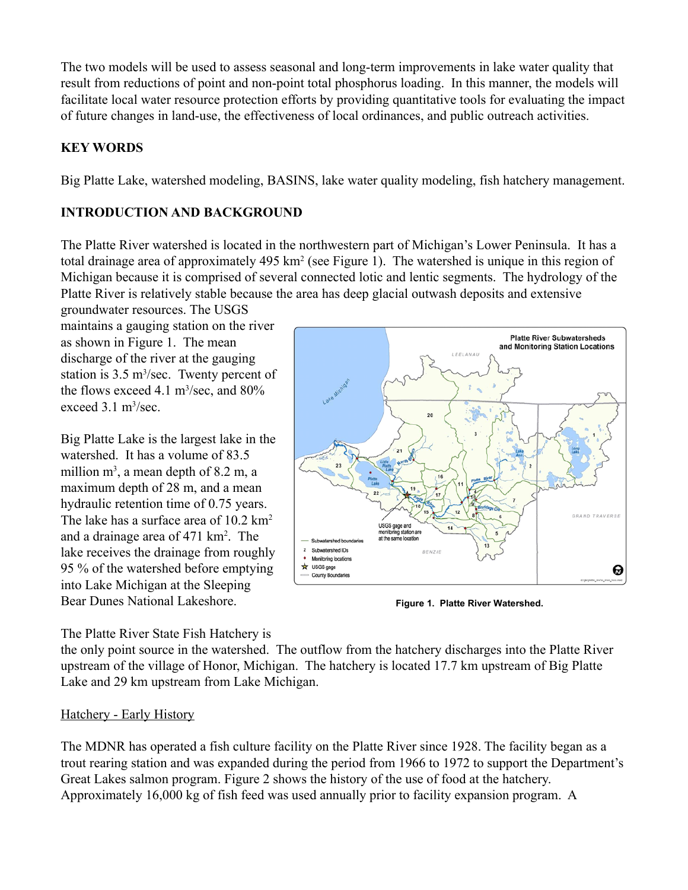The two models will be used to assess seasonal and long-term improvements in lake water quality that result from reductions of point and non-point total phosphorus loading. In this manner, the models will facilitate local water resource protection efforts by providing quantitative tools for evaluating the impact of future changes in land-use, the effectiveness of local ordinances, and public outreach activities.

# **KEY WORDS**

Big Platte Lake, watershed modeling, BASINS, lake water quality modeling, fish hatchery management.

## **INTRODUCTION AND BACKGROUND**

The Platte River watershed is located in the northwestern part of Michigan's Lower Peninsula. It has a total drainage area of approximately 495 km<sup>2</sup> (see Figure 1). The watershed is unique in this region of Michigan because it is comprised of several connected lotic and lentic segments. The hydrology of the Platte River is relatively stable because the area has deep glacial outwash deposits and extensive

groundwater resources. The USGS maintains a gauging station on the river as shown in Figure 1. The mean discharge of the river at the gauging station is 3.5 m<sup>3</sup>/sec. Twenty percent of the flows exceed 4.1  $m^3$ /sec, and 80% exceed 3.1 m<sup>3</sup>/sec.

Big Platte Lake is the largest lake in the watershed. It has a volume of 83.5 million  $m^3$ , a mean depth of 8.2 m, a maximum depth of 28 m, and a mean hydraulic retention time of 0.75 years. The lake has a surface area of  $10.2 \text{ km}^2$ and a drainage area of 471 km<sup>2</sup>. The lake receives the drainage from roughly 95 % of the watershed before emptying into Lake Michigan at the Sleeping Bear Dunes National Lakeshore.



**Figure 1. Platte River Watershed.**

### The Platte River State Fish Hatchery is

the only point source in the watershed. The outflow from the hatchery discharges into the Platte River upstream of the village of Honor, Michigan. The hatchery is located 17.7 km upstream of Big Platte Lake and 29 km upstream from Lake Michigan.

### Hatchery - Early History

The MDNR has operated a fish culture facility on the Platte River since 1928. The facility began as a trout rearing station and was expanded during the period from 1966 to 1972 to support the Department's Great Lakes salmon program. Figure 2 shows the history of the use of food at the hatchery. Approximately 16,000 kg of fish feed was used annually prior to facility expansion program. A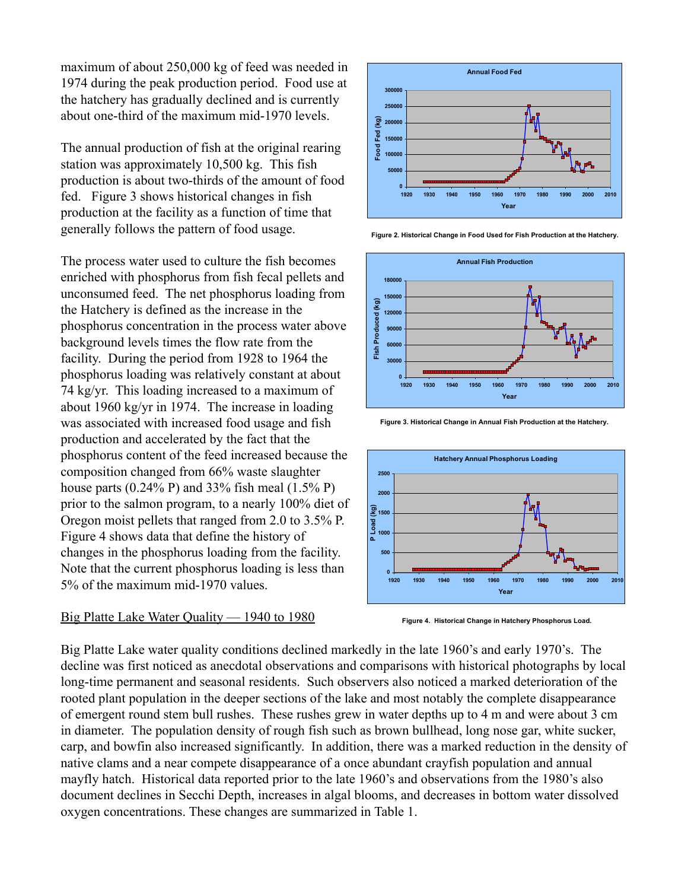maximum of about 250,000 kg of feed was needed in 1974 during the peak production period. Food use at the hatchery has gradually declined and is currently about one-third of the maximum mid-1970 levels.

The annual production of fish at the original rearing station was approximately 10,500 kg. This fish production is about two-thirds of the amount of food fed. Figure 3 shows historical changes in fish production at the facility as a function of time that generally follows the pattern of food usage.

The process water used to culture the fish becomes enriched with phosphorus from fish fecal pellets and unconsumed feed. The net phosphorus loading from the Hatchery is defined as the increase in the phosphorus concentration in the process water above background levels times the flow rate from the facility. During the period from 1928 to 1964 the phosphorus loading was relatively constant at about 74 kg/yr. This loading increased to a maximum of about 1960 kg/yr in 1974. The increase in loading was associated with increased food usage and fish production and accelerated by the fact that the phosphorus content of the feed increased because the composition changed from 66% waste slaughter house parts  $(0.24\% \text{ P})$  and 33% fish meal  $(1.5\% \text{ P})$ prior to the salmon program, to a nearly 100% diet of Oregon moist pellets that ranged from 2.0 to 3.5% P. Figure 4 shows data that define the history of changes in the phosphorus loading from the facility. Note that the current phosphorus loading is less than 5% of the maximum mid-1970 values.

### Big Platte Lake Water Quality — 1940 to 1980



**Figure 2. Historical Change in Food Used for Fish Production at the Hatchery.**





**Figure 3. Historical Change in Annual Fish Production at the Hatchery.**

**Figure 4. Historical Change in Hatchery Phosphorus Load.**

Big Platte Lake water quality conditions declined markedly in the late 1960's and early 1970's. The decline was first noticed as anecdotal observations and comparisons with historical photographs by local long-time permanent and seasonal residents. Such observers also noticed a marked deterioration of the rooted plant population in the deeper sections of the lake and most notably the complete disappearance of emergent round stem bull rushes. These rushes grew in water depths up to 4 m and were about 3 cm in diameter. The population density of rough fish such as brown bullhead, long nose gar, white sucker, carp, and bowfin also increased significantly. In addition, there was a marked reduction in the density of native clams and a near compete disappearance of a once abundant crayfish population and annual mayfly hatch. Historical data reported prior to the late 1960's and observations from the 1980's also document declines in Secchi Depth, increases in algal blooms, and decreases in bottom water dissolved oxygen concentrations. These changes are summarized in Table 1.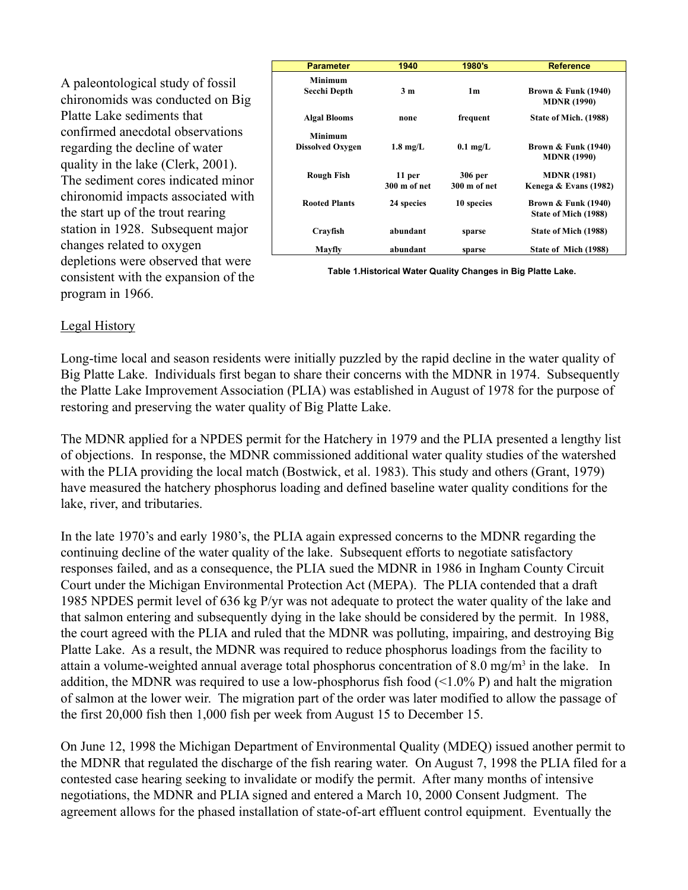A paleontological study of fossil chironomids was conducted on Big Platte Lake sediments that confirmed anecdotal observations regarding the decline of water quality in the lake (Clerk, 2001). The sediment cores indicated minor chironomid impacts associated with the start up of the trout rearing station in 1928. Subsequent major changes related to oxygen depletions were observed that were consistent with the expansion of the program in 1966.

| <b>Parameter</b>                   | 1940                   | 1980's                   | <b>Reference</b>                                       |
|------------------------------------|------------------------|--------------------------|--------------------------------------------------------|
| Minimum<br>Secchi Depth            | 3 <sub>m</sub>         | 1 <sub>m</sub>           | <b>Brown &amp; Funk (1940)</b><br><b>MDNR</b> (1990)   |
| <b>Algal Blooms</b>                | none                   | frequent                 | State of Mich. (1988)                                  |
| Minimum<br><b>Dissolved Oxygen</b> | $1.8 \text{ mg/L}$     | $0.1 \text{ mg/L}$       | <b>Brown &amp; Funk (1940)</b><br><b>MDNR</b> (1990)   |
| <b>Rough Fish</b>                  | 11 per<br>300 m of net | 306 per<br>$300m$ of net | <b>MDNR</b> (1981)<br>Kenega & Evans (1982)            |
| <b>Rooted Plants</b>               | 24 species             | 10 species               | <b>Brown &amp; Funk (1940)</b><br>State of Mich (1988) |
| Crayfish                           | abundant               | sparse                   | State of Mich (1988)                                   |
| Mayfly                             | abundant               | sparse                   | State of Mich (1988)                                   |

**Table 1.Historical Water Quality Changes in Big Platte Lake.**

### Legal History

Long-time local and season residents were initially puzzled by the rapid decline in the water quality of Big Platte Lake. Individuals first began to share their concerns with the MDNR in 1974. Subsequently the Platte Lake Improvement Association (PLIA) was established in August of 1978 for the purpose of restoring and preserving the water quality of Big Platte Lake.

The MDNR applied for a NPDES permit for the Hatchery in 1979 and the PLIA presented a lengthy list of objections. In response, the MDNR commissioned additional water quality studies of the watershed with the PLIA providing the local match (Bostwick, et al. 1983). This study and others (Grant, 1979) have measured the hatchery phosphorus loading and defined baseline water quality conditions for the lake, river, and tributaries.

In the late 1970's and early 1980's, the PLIA again expressed concerns to the MDNR regarding the continuing decline of the water quality of the lake. Subsequent efforts to negotiate satisfactory responses failed, and as a consequence, the PLIA sued the MDNR in 1986 in Ingham County Circuit Court under the Michigan Environmental Protection Act (MEPA). The PLIA contended that a draft 1985 NPDES permit level of 636 kg P/yr was not adequate to protect the water quality of the lake and that salmon entering and subsequently dying in the lake should be considered by the permit. In 1988, the court agreed with the PLIA and ruled that the MDNR was polluting, impairing, and destroying Big Platte Lake. As a result, the MDNR was required to reduce phosphorus loadings from the facility to attain a volume-weighted annual average total phosphorus concentration of 8.0 mg/m<sup>3</sup> in the lake. In addition, the MDNR was required to use a low-phosphorus fish food  $(1.0\%$  P) and halt the migration of salmon at the lower weir. The migration part of the order was later modified to allow the passage of the first 20,000 fish then 1,000 fish per week from August 15 to December 15.

On June 12, 1998 the Michigan Department of Environmental Quality (MDEQ) issued another permit to the MDNR that regulated the discharge of the fish rearing water. On August 7, 1998 the PLIA filed for a contested case hearing seeking to invalidate or modify the permit. After many months of intensive negotiations, the MDNR and PLIA signed and entered a March 10, 2000 Consent Judgment. The agreement allows for the phased installation of state-of-art effluent control equipment. Eventually the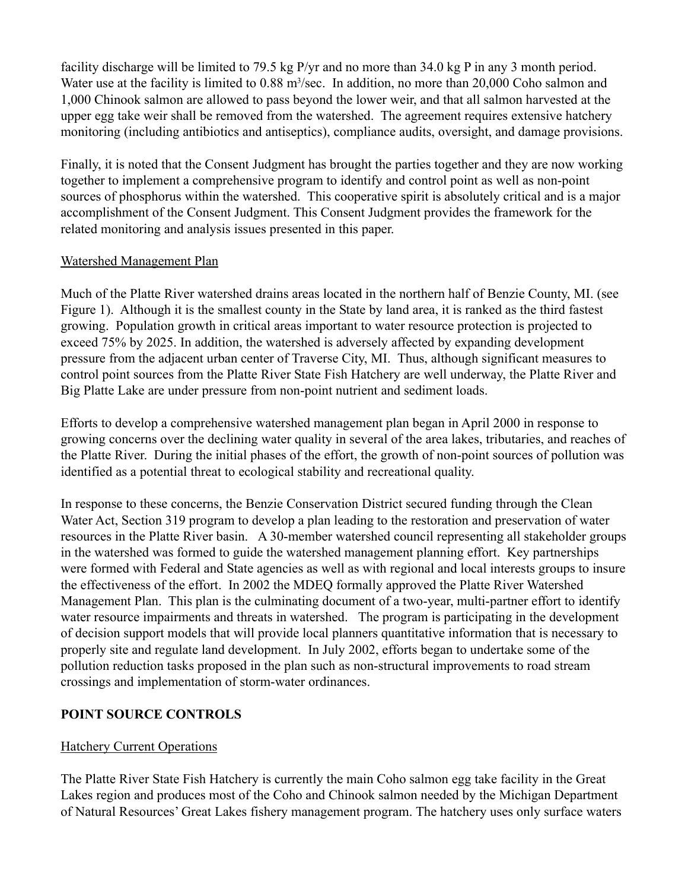facility discharge will be limited to 79.5 kg P/yr and no more than 34.0 kg P in any 3 month period. Water use at the facility is limited to 0.88 m<sup>3</sup>/sec. In addition, no more than 20,000 Coho salmon and 1,000 Chinook salmon are allowed to pass beyond the lower weir, and that all salmon harvested at the upper egg take weir shall be removed from the watershed. The agreement requires extensive hatchery monitoring (including antibiotics and antiseptics), compliance audits, oversight, and damage provisions.

Finally, it is noted that the Consent Judgment has brought the parties together and they are now working together to implement a comprehensive program to identify and control point as well as non-point sources of phosphorus within the watershed. This cooperative spirit is absolutely critical and is a major accomplishment of the Consent Judgment. This Consent Judgment provides the framework for the related monitoring and analysis issues presented in this paper.

### Watershed Management Plan

Much of the Platte River watershed drains areas located in the northern half of Benzie County, MI. (see Figure 1). Although it is the smallest county in the State by land area, it is ranked as the third fastest growing. Population growth in critical areas important to water resource protection is projected to exceed 75% by 2025. In addition, the watershed is adversely affected by expanding development pressure from the adjacent urban center of Traverse City, MI. Thus, although significant measures to control point sources from the Platte River State Fish Hatchery are well underway, the Platte River and Big Platte Lake are under pressure from non-point nutrient and sediment loads.

Efforts to develop a comprehensive watershed management plan began in April 2000 in response to growing concerns over the declining water quality in several of the area lakes, tributaries, and reaches of the Platte River. During the initial phases of the effort, the growth of non-point sources of pollution was identified as a potential threat to ecological stability and recreational quality.

In response to these concerns, the Benzie Conservation District secured funding through the Clean Water Act, Section 319 program to develop a plan leading to the restoration and preservation of water resources in the Platte River basin. A 30-member watershed council representing all stakeholder groups in the watershed was formed to guide the watershed management planning effort. Key partnerships were formed with Federal and State agencies as well as with regional and local interests groups to insure the effectiveness of the effort. In 2002 the MDEQ formally approved the Platte River Watershed Management Plan. This plan is the culminating document of a two-year, multi-partner effort to identify water resource impairments and threats in watershed. The program is participating in the development of decision support models that will provide local planners quantitative information that is necessary to properly site and regulate land development. In July 2002, efforts began to undertake some of the pollution reduction tasks proposed in the plan such as non-structural improvements to road stream crossings and implementation of storm-water ordinances.

# **POINT SOURCE CONTROLS**

# Hatchery Current Operations

The Platte River State Fish Hatchery is currently the main Coho salmon egg take facility in the Great Lakes region and produces most of the Coho and Chinook salmon needed by the Michigan Department of Natural Resources' Great Lakes fishery management program. The hatchery uses only surface waters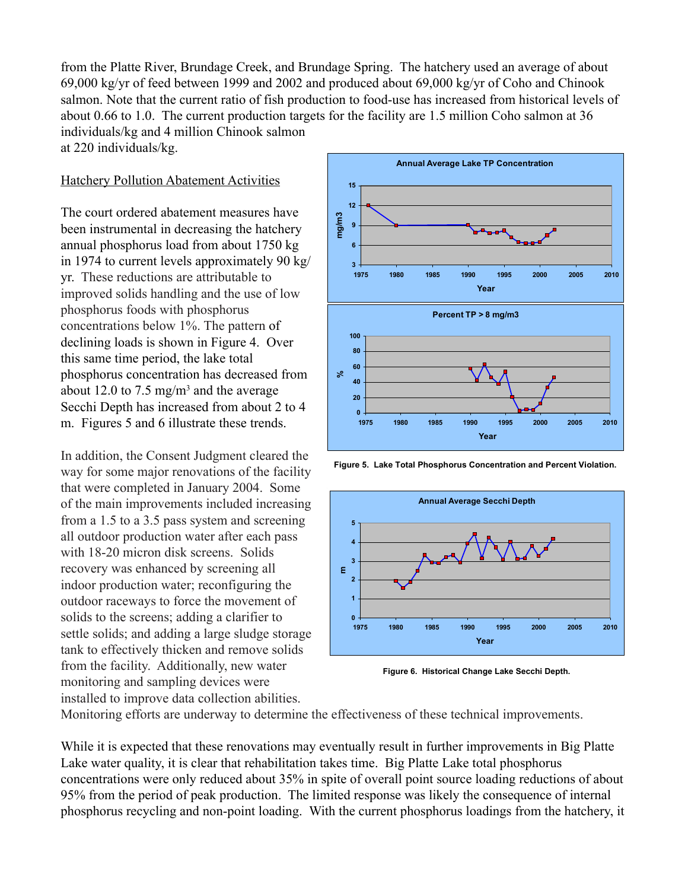from the Platte River, Brundage Creek, and Brundage Spring. The hatchery used an average of about 69,000 kg/yr of feed between 1999 and 2002 and produced about 69,000 kg/yr of Coho and Chinook salmon. Note that the current ratio of fish production to food-use has increased from historical levels of about 0.66 to 1.0. The current production targets for the facility are 1.5 million Coho salmon at 36 individuals/kg and 4 million Chinook salmon

at 220 individuals/kg.

### Hatchery Pollution Abatement Activities

The court ordered abatement measures have been instrumental in decreasing the hatchery annual phosphorus load from about 1750 kg in 1974 to current levels approximately 90 kg/ yr. These reductions are attributable to improved solids handling and the use of low phosphorus foods with phosphorus concentrations below 1%. The pattern of declining loads is shown in Figure 4. Over this same time period, the lake total phosphorus concentration has decreased from about 12.0 to 7.5 mg/m<sup>3</sup> and the average Secchi Depth has increased from about 2 to 4 m. Figures 5 and 6 illustrate these trends.

In addition, the Consent Judgment cleared the way for some major renovations of the facility that were completed in January 2004. Some of the main improvements included increasing from a 1.5 to a 3.5 pass system and screening all outdoor production water after each pass with 18-20 micron disk screens. Solids recovery was enhanced by screening all indoor production water; reconfiguring the outdoor raceways to force the movement of solids to the screens; adding a clarifier to settle solids; and adding a large sludge storage tank to effectively thicken and remove solids from the facility. Additionally, new water monitoring and sampling devices were installed to improve data collection abilities.



**Figure 5. Lake Total Phosphorus Concentration and Percent Violation.** 



**Figure 6. Historical Change Lake Secchi Depth.**

Monitoring efforts are underway to determine the effectiveness of these technical improvements.

While it is expected that these renovations may eventually result in further improvements in Big Platte Lake water quality, it is clear that rehabilitation takes time. Big Platte Lake total phosphorus concentrations were only reduced about 35% in spite of overall point source loading reductions of about 95% from the period of peak production. The limited response was likely the consequence of internal phosphorus recycling and non-point loading. With the current phosphorus loadings from the hatchery, it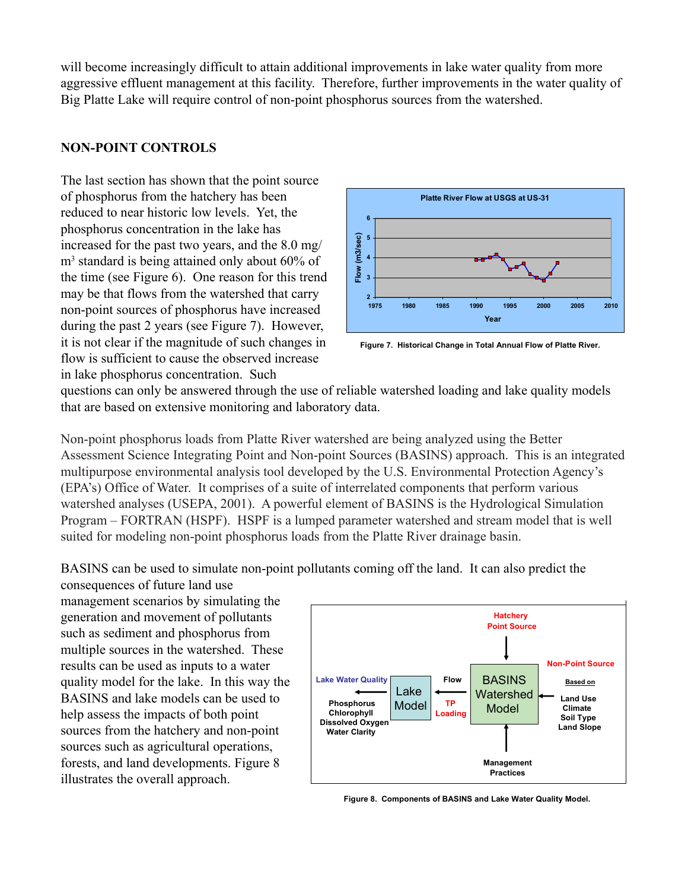will become increasingly difficult to attain additional improvements in lake water quality from more aggressive effluent management at this facility. Therefore, further improvements in the water quality of Big Platte Lake will require control of non-point phosphorus sources from the watershed.

### **NON-POINT CONTROLS**

The last section has shown that the point source of phosphorus from the hatchery has been reduced to near historic low levels. Yet, the phosphorus concentration in the lake has increased for the past two years, and the 8.0 mg/ m<sup>3</sup> standard is being attained only about 60% of the time (see Figure 6). One reason for this trend may be that flows from the watershed that carry non-point sources of phosphorus have increased during the past 2 years (see Figure 7). However, it is not clear if the magnitude of such changes in flow is sufficient to cause the observed increase in lake phosphorus concentration. Such



**Figure 7. Historical Change in Total Annual Flow of Platte River.**

questions can only be answered through the use of reliable watershed loading and lake quality models that are based on extensive monitoring and laboratory data.

Non-point phosphorus loads from Platte River watershed are being analyzed using the Better Assessment Science Integrating Point and Non-point Sources (BASINS) approach. This is an integrated multipurpose environmental analysis tool developed by the U.S. Environmental Protection Agency's (EPA's) Office of Water. It comprises of a suite of interrelated components that perform various watershed analyses (USEPA, 2001). A powerful element of BASINS is the Hydrological Simulation Program – FORTRAN (HSPF). HSPF is a lumped parameter watershed and stream model that is well suited for modeling non-point phosphorus loads from the Platte River drainage basin.

BASINS can be used to simulate non-point pollutants coming off the land. It can also predict the consequences of future land use

management scenarios by simulating the generation and movement of pollutants such as sediment and phosphorus from multiple sources in the watershed. These results can be used as inputs to a water quality model for the lake. In this way the BASINS and lake models can be used to help assess the impacts of both point sources from the hatchery and non-point sources such as agricultural operations, forests, and land developments. Figure 8 illustrates the overall approach.



**Figure 8. Components of BASINS and Lake Water Quality Model.**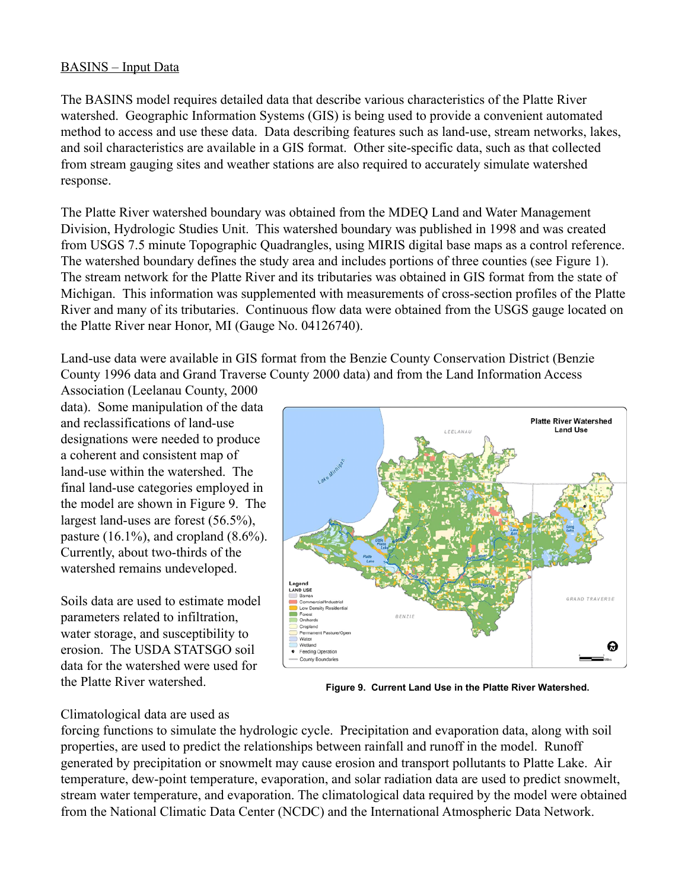### BASINS – Input Data

The BASINS model requires detailed data that describe various characteristics of the Platte River watershed. Geographic Information Systems (GIS) is being used to provide a convenient automated method to access and use these data. Data describing features such as land-use, stream networks, lakes, and soil characteristics are available in a GIS format. Other site-specific data, such as that collected from stream gauging sites and weather stations are also required to accurately simulate watershed response.

The Platte River watershed boundary was obtained from the MDEQ Land and Water Management Division, Hydrologic Studies Unit. This watershed boundary was published in 1998 and was created from USGS 7.5 minute Topographic Quadrangles, using MIRIS digital base maps as a control reference. The watershed boundary defines the study area and includes portions of three counties (see Figure 1). The stream network for the Platte River and its tributaries was obtained in GIS format from the state of Michigan. This information was supplemented with measurements of cross-section profiles of the Platte River and many of its tributaries. Continuous flow data were obtained from the USGS gauge located on the Platte River near Honor, MI (Gauge No. 04126740).

Land-use data were available in GIS format from the Benzie County Conservation District (Benzie County 1996 data and Grand Traverse County 2000 data) and from the Land Information Access

Association (Leelanau County, 2000 data). Some manipulation of the data and reclassifications of land-use designations were needed to produce a coherent and consistent map of land-use within the watershed. The final land-use categories employed in the model are shown in Figure 9. The largest land-uses are forest (56.5%), pasture  $(16.1\%)$ , and cropland  $(8.6\%)$ . Currently, about two-thirds of the watershed remains undeveloped.

Soils data are used to estimate model parameters related to infiltration, water storage, and susceptibility to erosion. The USDA STATSGO soil data for the watershed were used for the Platte River watershed.



**Figure 9. Current Land Use in the Platte River Watershed.**

#### Climatological data are used as

forcing functions to simulate the hydrologic cycle. Precipitation and evaporation data, along with soil properties, are used to predict the relationships between rainfall and runoff in the model. Runoff generated by precipitation or snowmelt may cause erosion and transport pollutants to Platte Lake. Air temperature, dew-point temperature, evaporation, and solar radiation data are used to predict snowmelt, stream water temperature, and evaporation. The climatological data required by the model were obtained from the National Climatic Data Center (NCDC) and the International Atmospheric Data Network.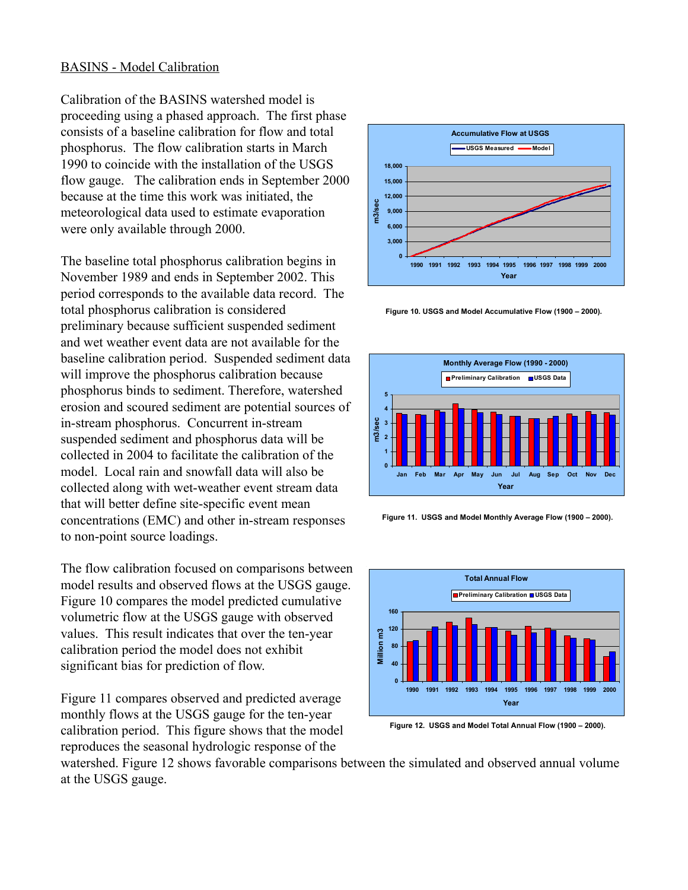### BASINS - Model Calibration

Calibration of the BASINS watershed model is proceeding using a phased approach. The first phase consists of a baseline calibration for flow and total phosphorus. The flow calibration starts in March 1990 to coincide with the installation of the USGS flow gauge. The calibration ends in September 2000 because at the time this work was initiated, the meteorological data used to estimate evaporation were only available through 2000.

The baseline total phosphorus calibration begins in November 1989 and ends in September 2002. This period corresponds to the available data record. The total phosphorus calibration is considered preliminary because sufficient suspended sediment and wet weather event data are not available for the baseline calibration period. Suspended sediment data will improve the phosphorus calibration because phosphorus binds to sediment. Therefore, watershed erosion and scoured sediment are potential sources of in-stream phosphorus. Concurrent in-stream suspended sediment and phosphorus data will be collected in 2004 to facilitate the calibration of the model. Local rain and snowfall data will also be collected along with wet-weather event stream data that will better define site-specific event mean concentrations (EMC) and other in-stream responses to non-point source loadings.

The flow calibration focused on comparisons between model results and observed flows at the USGS gauge. Figure 10 compares the model predicted cumulative volumetric flow at the USGS gauge with observed values. This result indicates that over the ten-year calibration period the model does not exhibit significant bias for prediction of flow.

Figure 11 compares observed and predicted average monthly flows at the USGS gauge for the ten-year calibration period. This figure shows that the model reproduces the seasonal hydrologic response of the



**Figure 10. USGS and Model Accumulative Flow (1900 – 2000).**



**Figure 11. USGS and Model Monthly Average Flow (1900 – 2000).** 



**Figure 12. USGS and Model Total Annual Flow (1900 – 2000).**

watershed. Figure 12 shows favorable comparisons between the simulated and observed annual volume at the USGS gauge.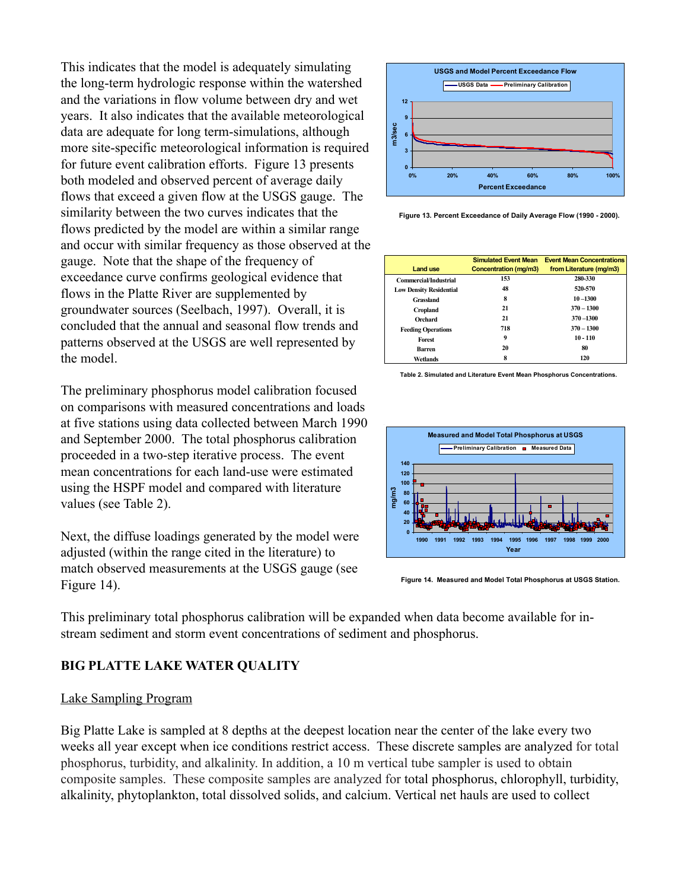This indicates that the model is adequately simulating the long-term hydrologic response within the watershed and the variations in flow volume between dry and wet years. It also indicates that the available meteorological data are adequate for long term-simulations, although more site-specific meteorological information is required for future event calibration efforts. Figure 13 presents both modeled and observed percent of average daily flows that exceed a given flow at the USGS gauge. The similarity between the two curves indicates that the flows predicted by the model are within a similar range and occur with similar frequency as those observed at the gauge. Note that the shape of the frequency of exceedance curve confirms geological evidence that flows in the Platte River are supplemented by groundwater sources (Seelbach, 1997). Overall, it is concluded that the annual and seasonal flow trends and patterns observed at the USGS are well represented by the model.

The preliminary phosphorus model calibration focused on comparisons with measured concentrations and loads at five stations using data collected between March 1990 and September 2000. The total phosphorus calibration proceeded in a two-step iterative process. The event mean concentrations for each land-use were estimated using the HSPF model and compared with literature values (see Table 2).

Next, the diffuse loadings generated by the model were adjusted (within the range cited in the literature) to match observed measurements at the USGS gauge (see Figure 14).



**Figure 13. Percent Exceedance of Daily Average Flow (1990 - 2000).**

|                                | <b>Simulated Event Mean</b> | <b>Event Mean Concentrations</b> |
|--------------------------------|-----------------------------|----------------------------------|
| <b>Land use</b>                | Concentration (mg/m3)       | from Literature (mg/m3)          |
| Commercial/Industrial          | 153                         | 280-330                          |
| <b>Low Density Residential</b> | 48                          | 520-570                          |
| Grassland                      | 8                           | $10 - 1300$                      |
| Cropland                       | 21                          | $370 - 1300$                     |
| Orchard                        | 21                          | $370 - 1300$                     |
| <b>Feeding Operations</b>      | 718                         | $370 - 1300$                     |
| <b>Forest</b>                  | 9                           | $10 - 110$                       |
| <b>Barren</b>                  | 20                          | 80                               |
| Wetlands                       | 8                           | 120                              |

**Table 2. Simulated and Literature Event Mean Phosphorus Concentrations.**



**Figure 14. Measured and Model Total Phosphorus at USGS Station.**

This preliminary total phosphorus calibration will be expanded when data become available for instream sediment and storm event concentrations of sediment and phosphorus.

#### **BIG PLATTE LAKE WATER QUALITY**

#### Lake Sampling Program

Big Platte Lake is sampled at 8 depths at the deepest location near the center of the lake every two weeks all year except when ice conditions restrict access. These discrete samples are analyzed for total phosphorus, turbidity, and alkalinity. In addition, a 10 m vertical tube sampler is used to obtain composite samples. These composite samples are analyzed for total phosphorus, chlorophyll, turbidity, alkalinity, phytoplankton, total dissolved solids, and calcium. Vertical net hauls are used to collect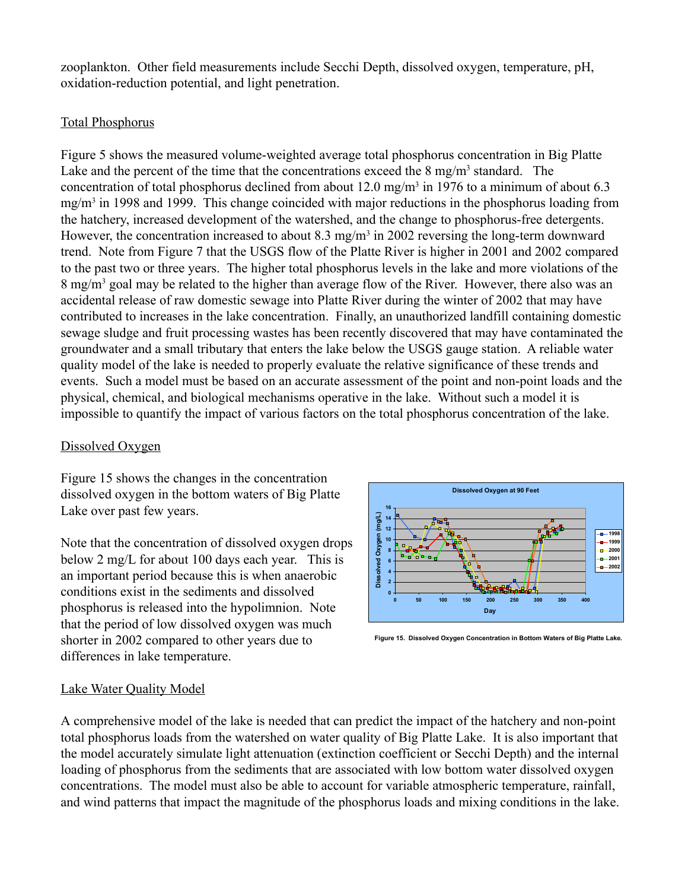zooplankton. Other field measurements include Secchi Depth, dissolved oxygen, temperature, pH, oxidation-reduction potential, and light penetration.

### Total Phosphorus

Figure 5 shows the measured volume-weighted average total phosphorus concentration in Big Platte Lake and the percent of the time that the concentrations exceed the  $8 \text{ mg/m}^3$  standard. The concentration of total phosphorus declined from about 12.0 mg/m<sup>3</sup> in 1976 to a minimum of about 6.3 mg/m<sup>3</sup> in 1998 and 1999. This change coincided with major reductions in the phosphorus loading from the hatchery, increased development of the watershed, and the change to phosphorus-free detergents. However, the concentration increased to about 8.3 mg/m<sup>3</sup> in 2002 reversing the long-term downward trend. Note from Figure 7 that the USGS flow of the Platte River is higher in 2001 and 2002 compared to the past two or three years. The higher total phosphorus levels in the lake and more violations of the 8 mg/m<sup>3</sup> goal may be related to the higher than average flow of the River. However, there also was an accidental release of raw domestic sewage into Platte River during the winter of 2002 that may have contributed to increases in the lake concentration. Finally, an unauthorized landfill containing domestic sewage sludge and fruit processing wastes has been recently discovered that may have contaminated the groundwater and a small tributary that enters the lake below the USGS gauge station. A reliable water quality model of the lake is needed to properly evaluate the relative significance of these trends and events. Such a model must be based on an accurate assessment of the point and non-point loads and the physical, chemical, and biological mechanisms operative in the lake. Without such a model it is impossible to quantify the impact of various factors on the total phosphorus concentration of the lake.

### Dissolved Oxygen

Figure 15 shows the changes in the concentration dissolved oxygen in the bottom waters of Big Platte Lake over past few years.

Note that the concentration of dissolved oxygen drops below 2 mg/L for about 100 days each year. This is an important period because this is when anaerobic conditions exist in the sediments and dissolved phosphorus is released into the hypolimnion. Note that the period of low dissolved oxygen was much shorter in 2002 compared to other years due to differences in lake temperature.



**Figure 15. Dissolved Oxygen Concentration in Bottom Waters of Big Platte Lake.**

### Lake Water Quality Model

A comprehensive model of the lake is needed that can predict the impact of the hatchery and non-point total phosphorus loads from the watershed on water quality of Big Platte Lake. It is also important that the model accurately simulate light attenuation (extinction coefficient or Secchi Depth) and the internal loading of phosphorus from the sediments that are associated with low bottom water dissolved oxygen concentrations. The model must also be able to account for variable atmospheric temperature, rainfall, and wind patterns that impact the magnitude of the phosphorus loads and mixing conditions in the lake.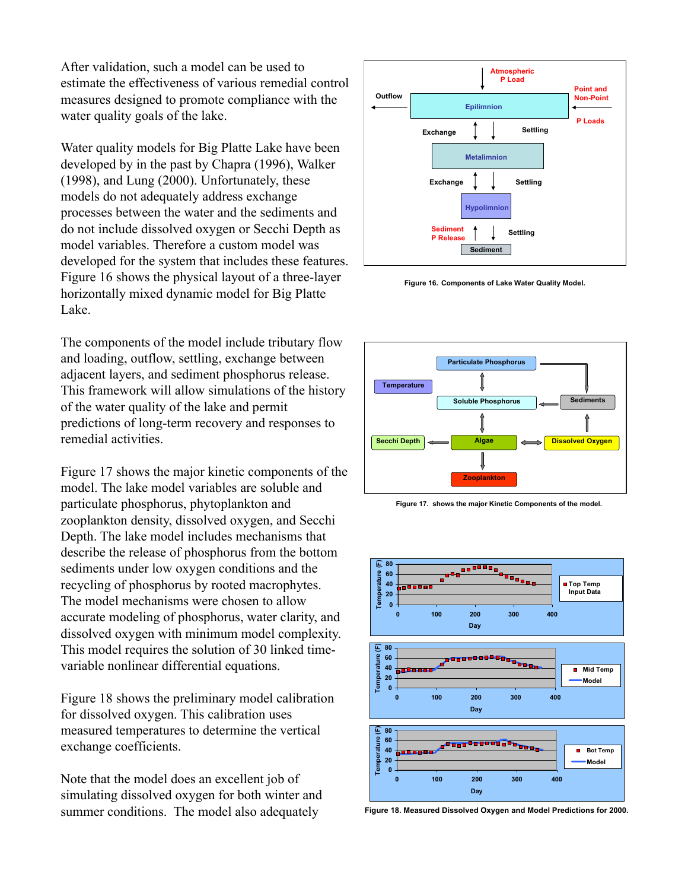After validation, such a model can be used to estimate the effectiveness of various remedial control measures designed to promote compliance with the water quality goals of the lake.

Water quality models for Big Platte Lake have been developed by in the past by Chapra (1996), Walker (1998), and Lung (2000). Unfortunately, these models do not adequately address exchange processes between the water and the sediments and do not include dissolved oxygen or Secchi Depth as model variables. Therefore a custom model was developed for the system that includes these features. Figure 16 shows the physical layout of a three-layer horizontally mixed dynamic model for Big Platte Lake.

The components of the model include tributary flow and loading, outflow, settling, exchange between adjacent layers, and sediment phosphorus release. This framework will allow simulations of the history of the water quality of the lake and permit predictions of long-term recovery and responses to remedial activities.

Figure 17 shows the major kinetic components of the model. The lake model variables are soluble and particulate phosphorus, phytoplankton and zooplankton density, dissolved oxygen, and Secchi Depth. The lake model includes mechanisms that describe the release of phosphorus from the bottom sediments under low oxygen conditions and the recycling of phosphorus by rooted macrophytes. The model mechanisms were chosen to allow accurate modeling of phosphorus, water clarity, and dissolved oxygen with minimum model complexity. This model requires the solution of 30 linked timevariable nonlinear differential equations.

Figure 18 shows the preliminary model calibration for dissolved oxygen. This calibration uses measured temperatures to determine the vertical exchange coefficients.

Note that the model does an excellent job of simulating dissolved oxygen for both winter and summer conditions. The model also adequately



**Figure 16. Components of Lake Water Quality Model.**



**Figure 17. shows the major Kinetic Components of the model.**



**Figure 18. Measured Dissolved Oxygen and Model Predictions for 2000.**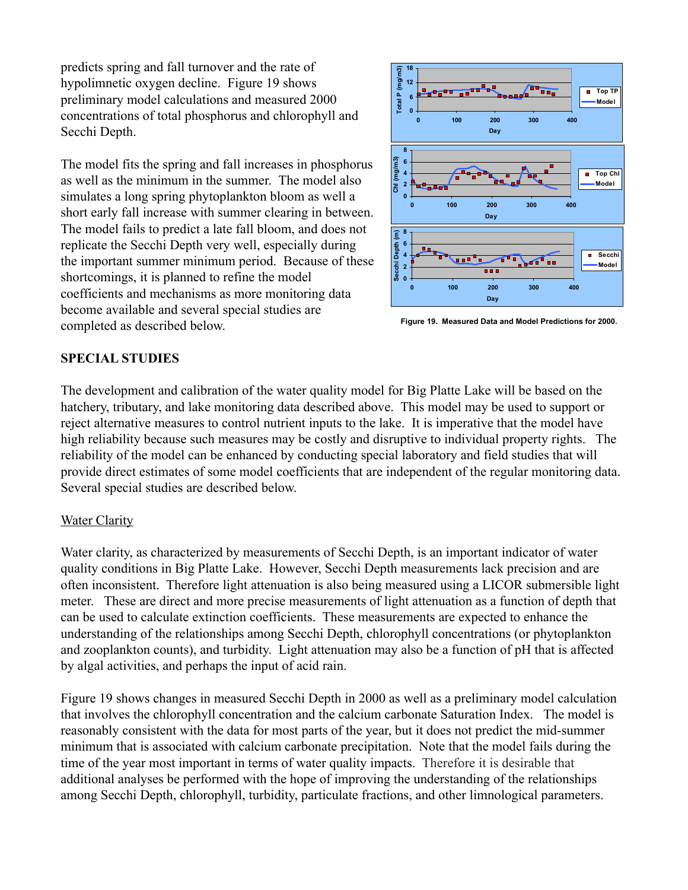predicts spring and fall turnover and the rate of hypolimnetic oxygen decline. Figure 19 shows preliminary model calculations and measured 2000 concentrations of total phosphorus and chlorophyll and Secchi Depth.

The model fits the spring and fall increases in phosphorus as well as the minimum in the summer. The model also simulates a long spring phytoplankton bloom as well a short early fall increase with summer clearing in between. The model fails to predict a late fall bloom, and does not replicate the Secchi Depth very well, especially during the important summer minimum period. Because of these shortcomings, it is planned to refine the model coefficients and mechanisms as more monitoring data become available and several special studies are completed as described below.



**Figure 19. Measured Data and Model Predictions for 2000.**

### **SPECIAL STUDIES**

The development and calibration of the water quality model for Big Platte Lake will be based on the hatchery, tributary, and lake monitoring data described above. This model may be used to support or reject alternative measures to control nutrient inputs to the lake. It is imperative that the model have high reliability because such measures may be costly and disruptive to individual property rights. The reliability of the model can be enhanced by conducting special laboratory and field studies that will provide direct estimates of some model coefficients that are independent of the regular monitoring data. Several special studies are described below.

#### Water Clarity

Water clarity, as characterized by measurements of Secchi Depth, is an important indicator of water quality conditions in Big Platte Lake. However, Secchi Depth measurements lack precision and are often inconsistent. Therefore light attenuation is also being measured using a LICOR submersible light meter. These are direct and more precise measurements of light attenuation as a function of depth that can be used to calculate extinction coefficients. These measurements are expected to enhance the understanding of the relationships among Secchi Depth, chlorophyll concentrations (or phytoplankton and zooplankton counts), and turbidity. Light attenuation may also be a function of pH that is affected by algal activities, and perhaps the input of acid rain.

Figure 19 shows changes in measured Secchi Depth in 2000 as well as a preliminary model calculation that involves the chlorophyll concentration and the calcium carbonate Saturation Index. The model is reasonably consistent with the data for most parts of the year, but it does not predict the mid-summer minimum that is associated with calcium carbonate precipitation. Note that the model fails during the time of the year most important in terms of water quality impacts. Therefore it is desirable that additional analyses be performed with the hope of improving the understanding of the relationships among Secchi Depth, chlorophyll, turbidity, particulate fractions, and other limnological parameters.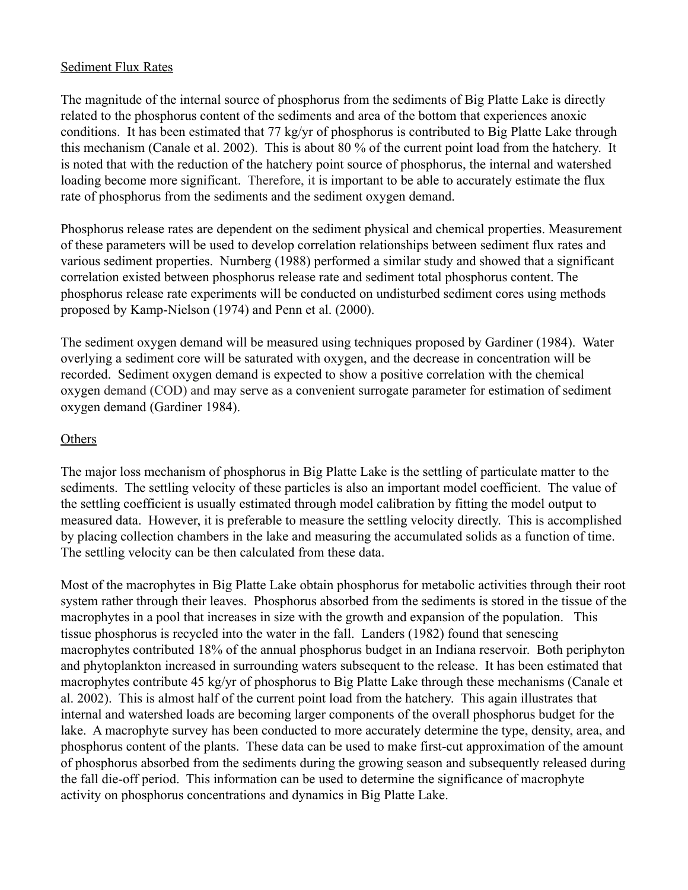### Sediment Flux Rates

The magnitude of the internal source of phosphorus from the sediments of Big Platte Lake is directly related to the phosphorus content of the sediments and area of the bottom that experiences anoxic conditions. It has been estimated that 77 kg/yr of phosphorus is contributed to Big Platte Lake through this mechanism (Canale et al. 2002). This is about 80 % of the current point load from the hatchery. It is noted that with the reduction of the hatchery point source of phosphorus, the internal and watershed loading become more significant. Therefore, it is important to be able to accurately estimate the flux rate of phosphorus from the sediments and the sediment oxygen demand.

Phosphorus release rates are dependent on the sediment physical and chemical properties. Measurement of these parameters will be used to develop correlation relationships between sediment flux rates and various sediment properties. Nurnberg (1988) performed a similar study and showed that a significant correlation existed between phosphorus release rate and sediment total phosphorus content. The phosphorus release rate experiments will be conducted on undisturbed sediment cores using methods proposed by Kamp-Nielson (1974) and Penn et al. (2000).

The sediment oxygen demand will be measured using techniques proposed by Gardiner (1984). Water overlying a sediment core will be saturated with oxygen, and the decrease in concentration will be recorded. Sediment oxygen demand is expected to show a positive correlation with the chemical oxygen demand (COD) and may serve as a convenient surrogate parameter for estimation of sediment oxygen demand (Gardiner 1984).

# **Others**

The major loss mechanism of phosphorus in Big Platte Lake is the settling of particulate matter to the sediments. The settling velocity of these particles is also an important model coefficient. The value of the settling coefficient is usually estimated through model calibration by fitting the model output to measured data. However, it is preferable to measure the settling velocity directly. This is accomplished by placing collection chambers in the lake and measuring the accumulated solids as a function of time. The settling velocity can be then calculated from these data.

Most of the macrophytes in Big Platte Lake obtain phosphorus for metabolic activities through their root system rather through their leaves. Phosphorus absorbed from the sediments is stored in the tissue of the macrophytes in a pool that increases in size with the growth and expansion of the population. This tissue phosphorus is recycled into the water in the fall. Landers (1982) found that senescing macrophytes contributed 18% of the annual phosphorus budget in an Indiana reservoir. Both periphyton and phytoplankton increased in surrounding waters subsequent to the release. It has been estimated that macrophytes contribute 45 kg/yr of phosphorus to Big Platte Lake through these mechanisms (Canale et al. 2002). This is almost half of the current point load from the hatchery. This again illustrates that internal and watershed loads are becoming larger components of the overall phosphorus budget for the lake. A macrophyte survey has been conducted to more accurately determine the type, density, area, and phosphorus content of the plants. These data can be used to make first-cut approximation of the amount of phosphorus absorbed from the sediments during the growing season and subsequently released during the fall die-off period. This information can be used to determine the significance of macrophyte activity on phosphorus concentrations and dynamics in Big Platte Lake.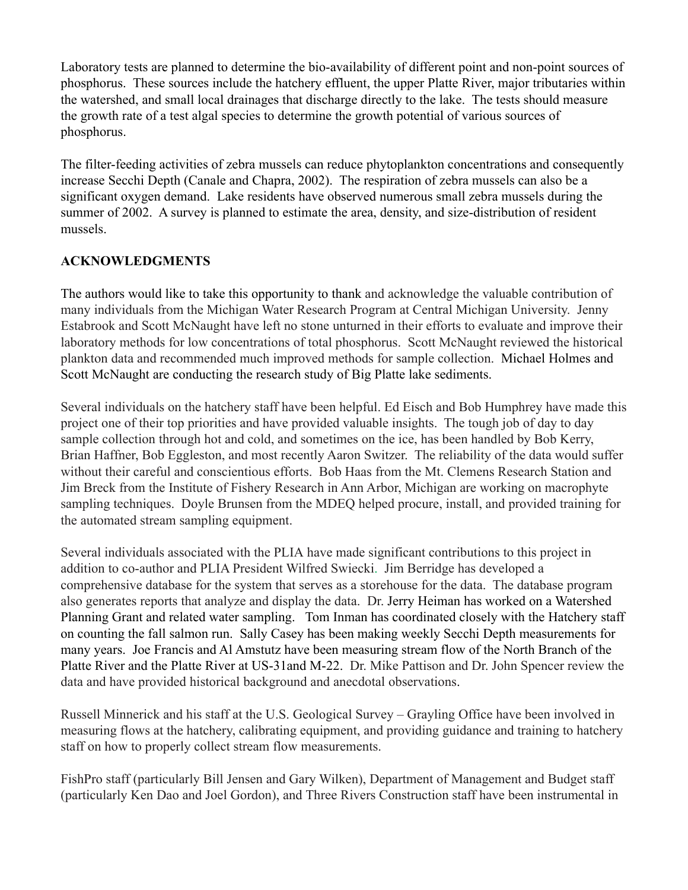Laboratory tests are planned to determine the bio-availability of different point and non-point sources of phosphorus. These sources include the hatchery effluent, the upper Platte River, major tributaries within the watershed, and small local drainages that discharge directly to the lake. The tests should measure the growth rate of a test algal species to determine the growth potential of various sources of phosphorus.

The filter-feeding activities of zebra mussels can reduce phytoplankton concentrations and consequently increase Secchi Depth (Canale and Chapra, 2002). The respiration of zebra mussels can also be a significant oxygen demand. Lake residents have observed numerous small zebra mussels during the summer of 2002. A survey is planned to estimate the area, density, and size-distribution of resident mussels.

## **ACKNOWLEDGMENTS**

The authors would like to take this opportunity to thank and acknowledge the valuable contribution of many individuals from the Michigan Water Research Program at Central Michigan University. Jenny Estabrook and Scott McNaught have left no stone unturned in their efforts to evaluate and improve their laboratory methods for low concentrations of total phosphorus. Scott McNaught reviewed the historical plankton data and recommended much improved methods for sample collection. Michael Holmes and Scott McNaught are conducting the research study of Big Platte lake sediments.

Several individuals on the hatchery staff have been helpful. Ed Eisch and Bob Humphrey have made this project one of their top priorities and have provided valuable insights. The tough job of day to day sample collection through hot and cold, and sometimes on the ice, has been handled by Bob Kerry, Brian Haffner, Bob Eggleston, and most recently Aaron Switzer. The reliability of the data would suffer without their careful and conscientious efforts. Bob Haas from the Mt. Clemens Research Station and Jim Breck from the Institute of Fishery Research in Ann Arbor, Michigan are working on macrophyte sampling techniques. Doyle Brunsen from the MDEQ helped procure, install, and provided training for the automated stream sampling equipment.

Several individuals associated with the PLIA have made significant contributions to this project in addition to co-author and PLIA President Wilfred Swiecki. Jim Berridge has developed a comprehensive database for the system that serves as a storehouse for the data. The database program also generates reports that analyze and display the data. Dr. Jerry Heiman has worked on a Watershed Planning Grant and related water sampling. Tom Inman has coordinated closely with the Hatchery staff on counting the fall salmon run. Sally Casey has been making weekly Secchi Depth measurements for many years. Joe Francis and Al Amstutz have been measuring stream flow of the North Branch of the Platte River and the Platte River at US-31and M-22. Dr. Mike Pattison and Dr. John Spencer review the data and have provided historical background and anecdotal observations.

Russell Minnerick and his staff at the U.S. Geological Survey – Grayling Office have been involved in measuring flows at the hatchery, calibrating equipment, and providing guidance and training to hatchery staff on how to properly collect stream flow measurements.

FishPro staff (particularly Bill Jensen and Gary Wilken), Department of Management and Budget staff (particularly Ken Dao and Joel Gordon), and Three Rivers Construction staff have been instrumental in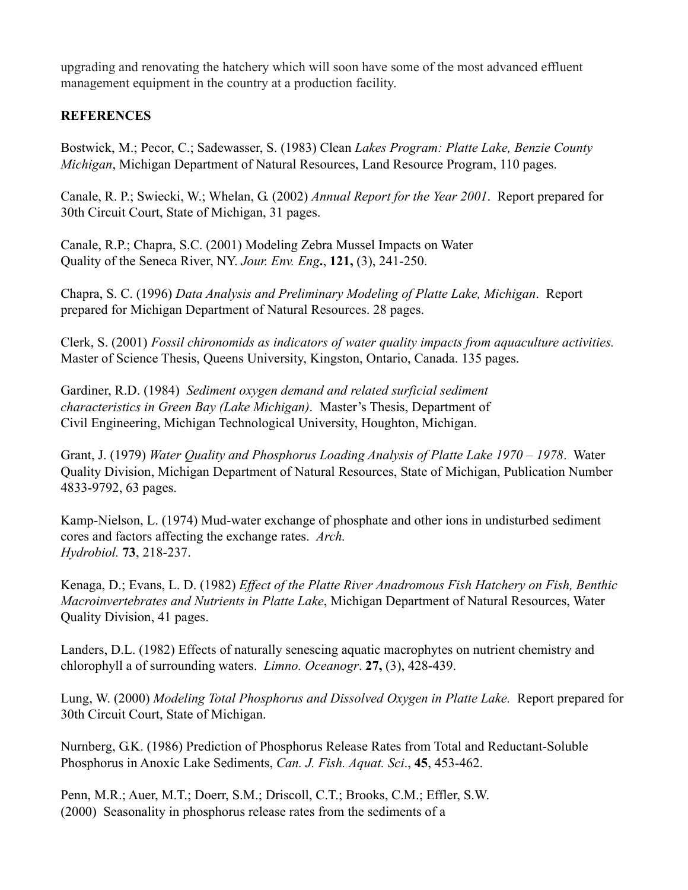upgrading and renovating the hatchery which will soon have some of the most advanced effluent management equipment in the country at a production facility.

# **REFERENCES**

Bostwick, M.; Pecor, C.; Sadewasser, S. (1983) Clean *Lakes Program: Platte Lake, Benzie County Michigan*, Michigan Department of Natural Resources, Land Resource Program, 110 pages.

Canale, R. P.; Swiecki, W.; Whelan, G. (2002) *Annual Report for the Year 2001*. Report prepared for 30th Circuit Court, State of Michigan, 31 pages.

Canale, R.P.; Chapra, S.C. (2001) Modeling Zebra Mussel Impacts on Water Quality of the Seneca River, NY. *Jour. Env. Eng***.**, **121,** (3), 241-250.

Chapra, S. C. (1996) *Data Analysis and Preliminary Modeling of Platte Lake, Michigan*. Report prepared for Michigan Department of Natural Resources. 28 pages.

Clerk, S. (2001) *Fossil chironomids as indicators of water quality impacts from aquaculture activities.* Master of Science Thesis, Queens University, Kingston, Ontario, Canada. 135 pages.

Gardiner, R.D. (1984) *Sediment oxygen demand and related surficial sediment characteristics in Green Bay (Lake Michigan)*. Master's Thesis, Department of Civil Engineering, Michigan Technological University, Houghton, Michigan.

Grant, J. (1979) *Water Quality and Phosphorus Loading Analysis of Platte Lake 1970 – 1978*. Water Quality Division, Michigan Department of Natural Resources, State of Michigan, Publication Number 4833-9792, 63 pages.

Kamp-Nielson, L. (1974) Mud-water exchange of phosphate and other ions in undisturbed sediment cores and factors affecting the exchange rates. *Arch. Hydrobiol.* **73**, 218-237.

Kenaga, D.; Evans, L. D. (1982) *Effect of the Platte River Anadromous Fish Hatchery on Fish, Benthic Macroinvertebrates and Nutrients in Platte Lake*, Michigan Department of Natural Resources, Water Quality Division, 41 pages.

Landers, D.L. (1982) Effects of naturally senescing aquatic macrophytes on nutrient chemistry and chlorophyll a of surrounding waters. *Limno. Oceanogr*. **27,** (3), 428-439.

Lung, W. (2000) *Modeling Total Phosphorus and Dissolved Oxygen in Platte Lake.* Report prepared for 30th Circuit Court, State of Michigan.

Nurnberg, G.K. (1986) Prediction of Phosphorus Release Rates from Total and Reductant-Soluble Phosphorus in Anoxic Lake Sediments, *Can. J. Fish. Aquat. Sci*., **45**, 453-462.

Penn, M.R.; Auer, M.T.; Doerr, S.M.; Driscoll, C.T.; Brooks, C.M.; Effler, S.W. (2000) Seasonality in phosphorus release rates from the sediments of a